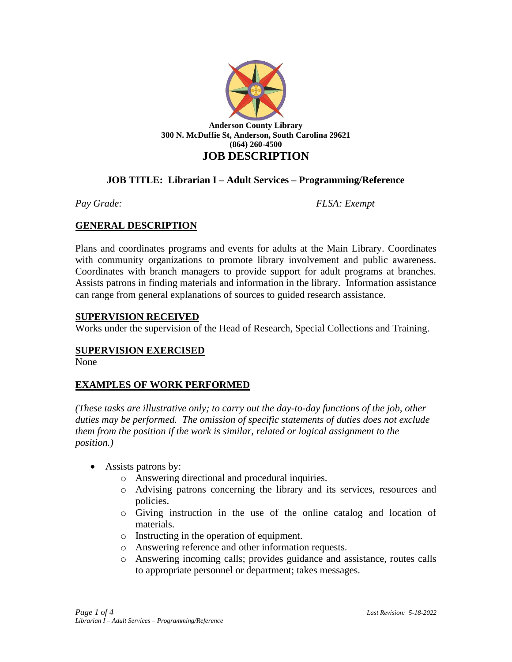

# **JOB TITLE: Librarian I – Adult Services – Programming/Reference**

*Pay Grade: FLSA: Exempt*

### **GENERAL DESCRIPTION**

Plans and coordinates programs and events for adults at the Main Library. Coordinates with community organizations to promote library involvement and public awareness. Coordinates with branch managers to provide support for adult programs at branches. Assists patrons in finding materials and information in the library. Information assistance can range from general explanations of sources to guided research assistance.

### **SUPERVISION RECEIVED**

Works under the supervision of the Head of Research, Special Collections and Training.

### **SUPERVISION EXERCISED**

None

### **EXAMPLES OF WORK PERFORMED**

*(These tasks are illustrative only; to carry out the day-to-day functions of the job, other duties may be performed. The omission of specific statements of duties does not exclude them from the position if the work is similar, related or logical assignment to the position.)*

- Assists patrons by:
	- o Answering directional and procedural inquiries.
	- o Advising patrons concerning the library and its services, resources and policies.
	- o Giving instruction in the use of the online catalog and location of materials.
	- o Instructing in the operation of equipment.
	- o Answering reference and other information requests.
	- o Answering incoming calls; provides guidance and assistance, routes calls to appropriate personnel or department; takes messages.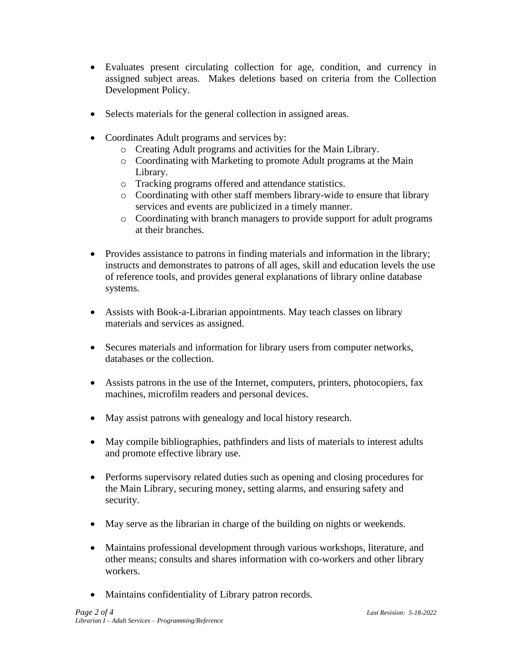- Evaluates present circulating collection for age, condition, and currency in assigned subject areas. Makes deletions based on criteria from the Collection Development Policy.
- Selects materials for the general collection in assigned areas.
- Coordinates Adult programs and services by:
	- o Creating Adult programs and activities for the Main Library.
	- o Coordinating with Marketing to promote Adult programs at the Main Library.
	- o Tracking programs offered and attendance statistics.
	- o Coordinating with other staff members library-wide to ensure that library services and events are publicized in a timely manner.
	- o Coordinating with branch managers to provide support for adult programs at their branches.
- Provides assistance to patrons in finding materials and information in the library; instructs and demonstrates to patrons of all ages, skill and education levels the use of reference tools, and provides general explanations of library online database systems.
- Assists with Book-a-Librarian appointments. May teach classes on library materials and services as assigned.
- Secures materials and information for library users from computer networks, databases or the collection.
- Assists patrons in the use of the Internet, computers, printers, photocopiers, fax machines, microfilm readers and personal devices.
- May assist patrons with genealogy and local history research.
- May compile bibliographies, pathfinders and lists of materials to interest adults and promote effective library use.
- Performs supervisory related duties such as opening and closing procedures for the Main Library, securing money, setting alarms, and ensuring safety and security.
- May serve as the librarian in charge of the building on nights or weekends.
- Maintains professional development through various workshops, literature, and other means; consults and shares information with co-workers and other library workers.
- Maintains confidentiality of Library patron records.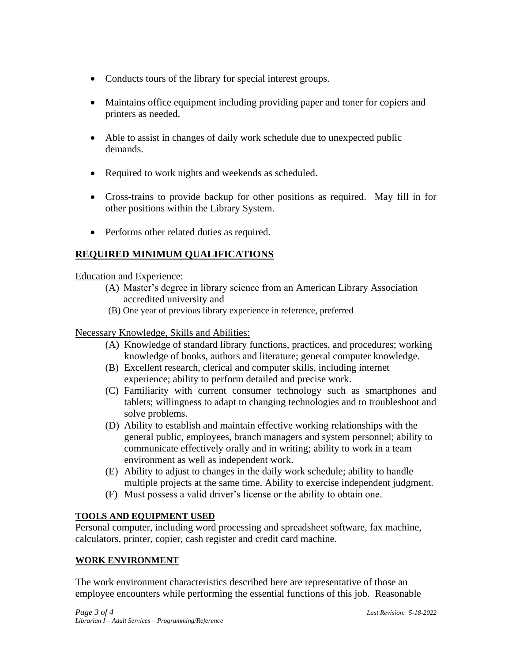- Conducts tours of the library for special interest groups.
- Maintains office equipment including providing paper and toner for copiers and printers as needed.
- Able to assist in changes of daily work schedule due to unexpected public demands.
- Required to work nights and weekends as scheduled.
- Cross-trains to provide backup for other positions as required. May fill in for other positions within the Library System.
- Performs other related duties as required.

# **REQUIRED MINIMUM QUALIFICATIONS**

Education and Experience:

- (A) Master's degree in library science from an American Library Association accredited university and
- (B) One year of previous library experience in reference, preferred

## Necessary Knowledge, Skills and Abilities:

- (A) Knowledge of standard library functions, practices, and procedures; working knowledge of books, authors and literature; general computer knowledge.
- (B) Excellent research, clerical and computer skills, including internet experience; ability to perform detailed and precise work.
- (C) Familiarity with current consumer technology such as smartphones and tablets; willingness to adapt to changing technologies and to troubleshoot and solve problems.
- (D) Ability to establish and maintain effective working relationships with the general public, employees, branch managers and system personnel; ability to communicate effectively orally and in writing; ability to work in a team environment as well as independent work.
- (E) Ability to adjust to changes in the daily work schedule; ability to handle multiple projects at the same time. Ability to exercise independent judgment.
- (F) Must possess a valid driver's license or the ability to obtain one.

## **TOOLS AND EQUIPMENT USED**

Personal computer, including word processing and spreadsheet software, fax machine, calculators, printer, copier, cash register and credit card machine.

## **WORK ENVIRONMENT**

The work environment characteristics described here are representative of those an employee encounters while performing the essential functions of this job. Reasonable